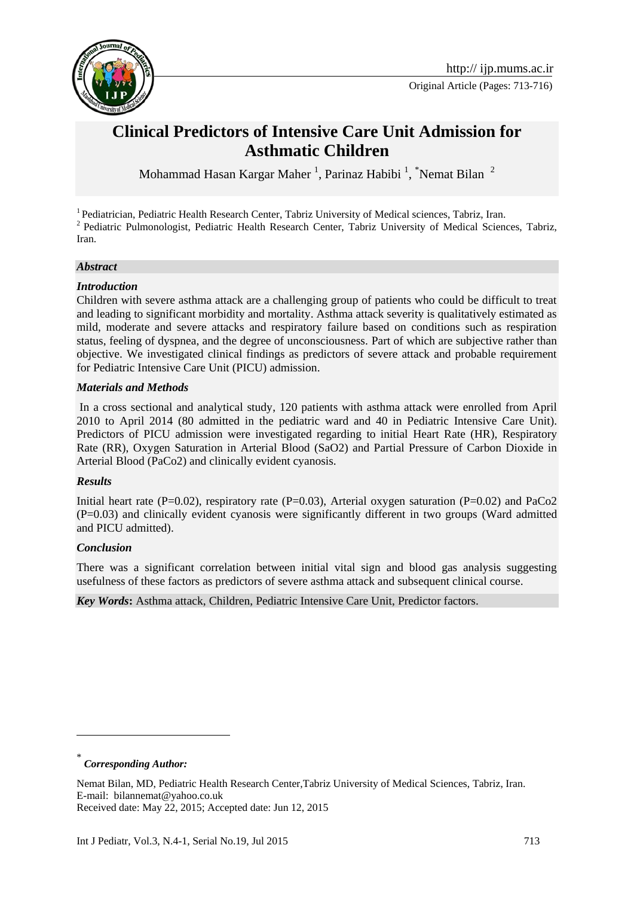

# **Clinical Predictors of Intensive Care Unit Admission for Asthmatic Children**

Mohammad Hasan Kargar Maher<sup>1</sup>, Parinaz Habibi<sup>1</sup>, <sup>\*</sup>Nemat Bilan<sup>2</sup>

<sup>1</sup> Pediatrician, Pediatric Health Research Center, Tabriz University of Medical sciences, Tabriz, Iran. <sup>2</sup> Pediatric Pulmonologist, Pediatric Health Research Center, Tabriz University of Medical Sciences, Tabriz, Iran.

### *Abstract*

### *Introduction*

Children with severe asthma attack are a challenging group of patients who could be difficult to treat and leading to significant morbidity and mortality. Asthma attack severity is qualitatively estimated as mild, moderate and severe attacks and respiratory failure based on conditions such as respiration status, feeling of dyspnea, and the degree of unconsciousness. Part of which are subjective rather than objective. We investigated clinical findings as predictors of severe attack and probable requirement for Pediatric Intensive Care Unit (PICU) admission.

#### *Materials and Methods*

In a cross sectional and analytical study, 120 patients with asthma attack were enrolled from April 2010 to April 2014 (80 admitted in the pediatric ward and 40 in Pediatric Intensive Care Unit). Predictors of PICU admission were investigated regarding to initial Heart Rate (HR), Respiratory Rate (RR), Oxygen Saturation in Arterial Blood (SaO2) and Partial Pressure of Carbon Dioxide in Arterial Blood (PaCo2) and clinically evident cyanosis.

### *Results*

Initial heart rate (P=0.02), respiratory rate (P=0.03), Arterial oxygen saturation (P=0.02) and PaCo2 (P=0.03) and clinically evident cyanosis were significantly different in two groups (Ward admitted and PICU admitted).

### *Conclusion*

There was a significant correlation between initial vital sign and blood gas analysis suggesting usefulness of these factors as predictors of severe asthma attack and subsequent clinical course.

*Key Words***:** Asthma attack, Children, Pediatric Intensive Care Unit, Predictor factors.

\* *Corresponding Author:*

1

Nemat Bilan, MD, Pediatric Health Research Center,Tabriz University of Medical Sciences, Tabriz, Iran. E-mail: [bilannemat@yahoo.co.uk](mailto:bilannemat@yahoo.co.uk) 

Received date: May 22, 2015; Accepted date: Jun 12, 2015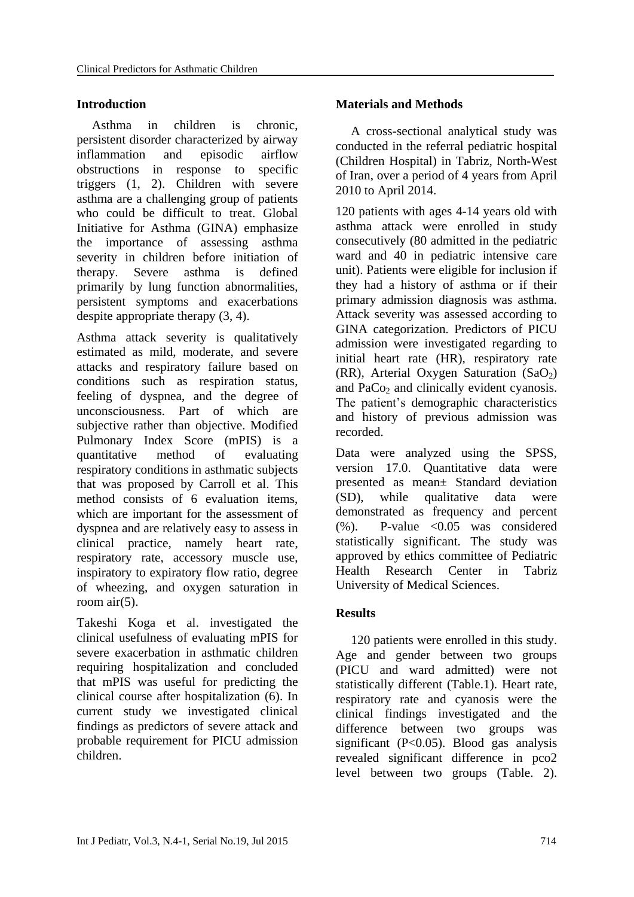### **Introduction**

Asthma in children is chronic, persistent disorder characterized by airway inflammation and episodic airflow obstructions in response to specific triggers (1, 2). Children with severe asthma are a challenging group of patients who could be difficult to treat. Global Initiative for Asthma (GINA) emphasize the importance of assessing asthma severity in children before initiation of therapy. Severe asthma is defined primarily by lung function abnormalities, persistent symptoms and exacerbations despite appropriate therapy (3, 4).

Asthma attack severity is qualitatively estimated as mild, moderate, and severe attacks and respiratory failure based on conditions such as respiration status, feeling of dyspnea, and the degree of unconsciousness. Part of which are subjective rather than objective. Modified Pulmonary Index Score (mPIS) is a quantitative method of evaluating respiratory conditions in asthmatic subjects that was proposed by Carroll et al. This method consists of 6 evaluation items, which are important for the assessment of dyspnea and are relatively easy to assess in clinical practice, namely heart rate, respiratory rate, accessory muscle use, inspiratory to expiratory flow ratio, degree of wheezing, and oxygen saturation in room air(5).

Takeshi Koga et al. investigated the clinical usefulness of evaluating mPIS for severe exacerbation in asthmatic children requiring hospitalization and concluded that mPIS was useful for predicting the clinical course after hospitalization (6). In current study we investigated clinical findings as predictors of severe attack and probable requirement for PICU admission children.

## **Materials and Methods**

A cross-sectional analytical study was conducted in the referral pediatric hospital (Children Hospital) in Tabriz, North-West of Iran, over a period of 4 years from April 2010 to April 2014.

120 patients with ages 4-14 years old with asthma attack were enrolled in study consecutively (80 admitted in the pediatric ward and 40 in pediatric intensive care unit). Patients were eligible for inclusion if they had a history of asthma or if their primary admission diagnosis was asthma. Attack severity was assessed according to GINA categorization. Predictors of PICU admission were investigated regarding to initial heart rate (HR), respiratory rate (RR), Arterial Oxygen Saturation  $(SaO<sub>2</sub>)$ and PaCo<sub>2</sub> and clinically evident cyanosis. The patient's demographic characteristics and history of previous admission was recorded.

Data were analyzed using the SPSS, version 17.0. Quantitative data were presented as mean± Standard deviation (SD), while qualitative data were demonstrated as frequency and percent  $(%)$ . P-value  $< 0.05$  was considered statistically significant. The study was approved by ethics committee of Pediatric Health Research Center in Tabriz University of Medical Sciences.

# **Results**

120 patients were enrolled in this study. Age and gender between two groups (PICU and ward admitted) were not statistically different (Table.1). Heart rate, respiratory rate and cyanosis were the clinical findings investigated and the difference between two groups was significant (P<0.05). Blood gas analysis revealed significant difference in pco2 level between two groups (Table. 2).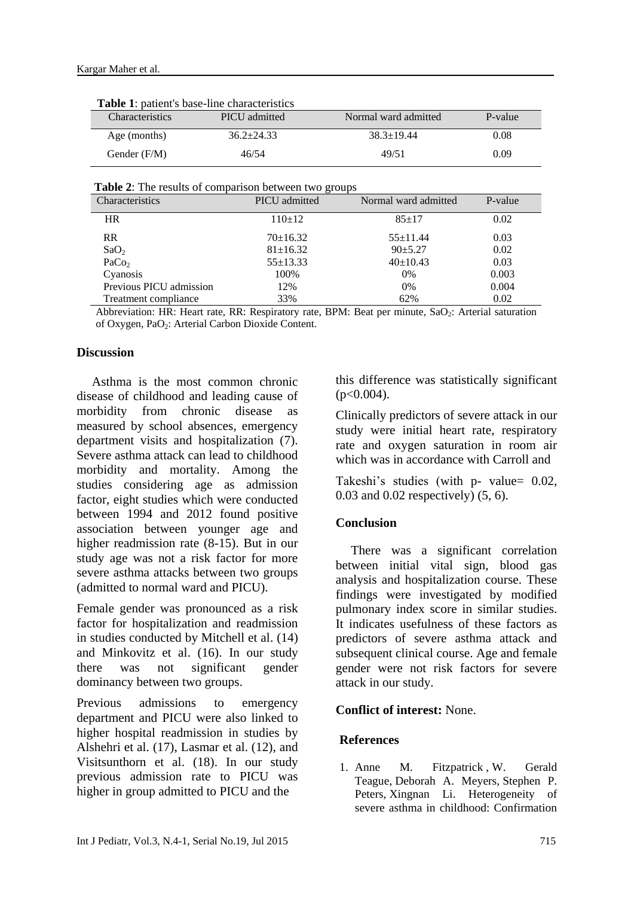| <b>Table 1:</b> patient's base-line characteristics |                |                      |         |  |
|-----------------------------------------------------|----------------|----------------------|---------|--|
| <b>Characteristics</b>                              | PICU admitted  | Normal ward admitted | P-value |  |
| Age (months)                                        | $36.2 + 24.33$ | $38.3 + 19.44$       | 0.08    |  |
| Gender (F/M)                                        | 46/54          | 49/51                | 0.09    |  |

**Table 1**: patient in the characteristics base-line characteristics base-line characteristics in the characteristics

 **Table 2**: The results of comparison between two groups

| <b>Characteristics</b>  | PICU admitted  | Normal ward admitted | P-value |
|-------------------------|----------------|----------------------|---------|
| <b>HR</b>               | $110+12$       | $85+17$              | 0.02    |
| <b>RR</b>               | $70+16.32$     | $55+11.44$           | 0.03    |
| SaO <sub>2</sub>        | $81 \pm 16.32$ | $90+5.27$            | 0.02    |
| PaCo <sub>2</sub>       | $55 \pm 13.33$ | $40 \pm 10.43$       | 0.03    |
| Cyanosis                | 100%           | $0\%$                | 0.003   |
| Previous PICU admission | 12%            | 0%                   | 0.004   |
| Treatment compliance    | 33%            | 62%                  | 0.02    |

Abbreviation: HR: Heart rate, RR: Respiratory rate, BPM: Beat per minute, SaO<sub>2</sub>: Arterial saturation of Oxygen, PaO2: Arterial Carbon Dioxide Content.

#### **Discussion**

Asthma is the most common chronic disease of childhood and leading cause of morbidity from chronic disease as measured by school absences, emergency department visits and hospitalization (7). Severe asthma attack can lead to childhood morbidity and mortality. Among the studies considering age as admission factor, eight studies which were conducted between 1994 and 2012 found positive association between younger age and higher readmission rate (8-15). But in our study age was not a risk factor for more severe asthma attacks between two groups (admitted to normal ward and PICU).

Female gender was pronounced as a risk factor for hospitalization and readmission in studies conducted by Mitchell et al. (14) and Minkovitz et al. (16). In our study there was not significant gender dominancy between two groups.

Previous admissions to emergency department and PICU were also linked to higher hospital readmission in studies by Alshehri et al. (17), Lasmar et al. (12), and Visitsunthorn et al. (18). In our study previous admission rate to PICU was higher in group admitted to PICU and the

this difference was statistically significant  $(p<0.004)$ .

Clinically predictors of severe attack in our study were initial heart rate, respiratory rate and oxygen saturation in room air which was in accordance with Carroll and

Takeshi's studies (with p- value= 0.02, 0.03 and 0.02 respectively) (5, 6).

### **Conclusion**

There was a significant correlation between initial vital sign, blood gas analysis and hospitalization course. These findings were investigated by modified pulmonary index score in similar studies. It indicates usefulness of these factors as predictors of severe asthma attack and subsequent clinical course. Age and female gender were not risk factors for severe attack in our study.

### **Conflict of interest:** None.

### **References**

1. [Anne M. Fitzpatrick](http://www.sciencedirect.com/science/article/pii/S0091674910017653) , [W. Gerald](http://www.sciencedirect.com/science/article/pii/S0091674910017653)  [Teague,](http://www.sciencedirect.com/science/article/pii/S0091674910017653) [Deborah A. Meyers,](http://www.sciencedirect.com/science/article/pii/S0091674910017653) [Stephen P.](http://www.sciencedirect.com/science/article/pii/S0091674910017653)  [Peters,](http://www.sciencedirect.com/science/article/pii/S0091674910017653) [Xingnan Li.](http://www.sciencedirect.com/science/article/pii/S0091674910017653) Heterogeneity of severe asthma in childhood: Confirmation